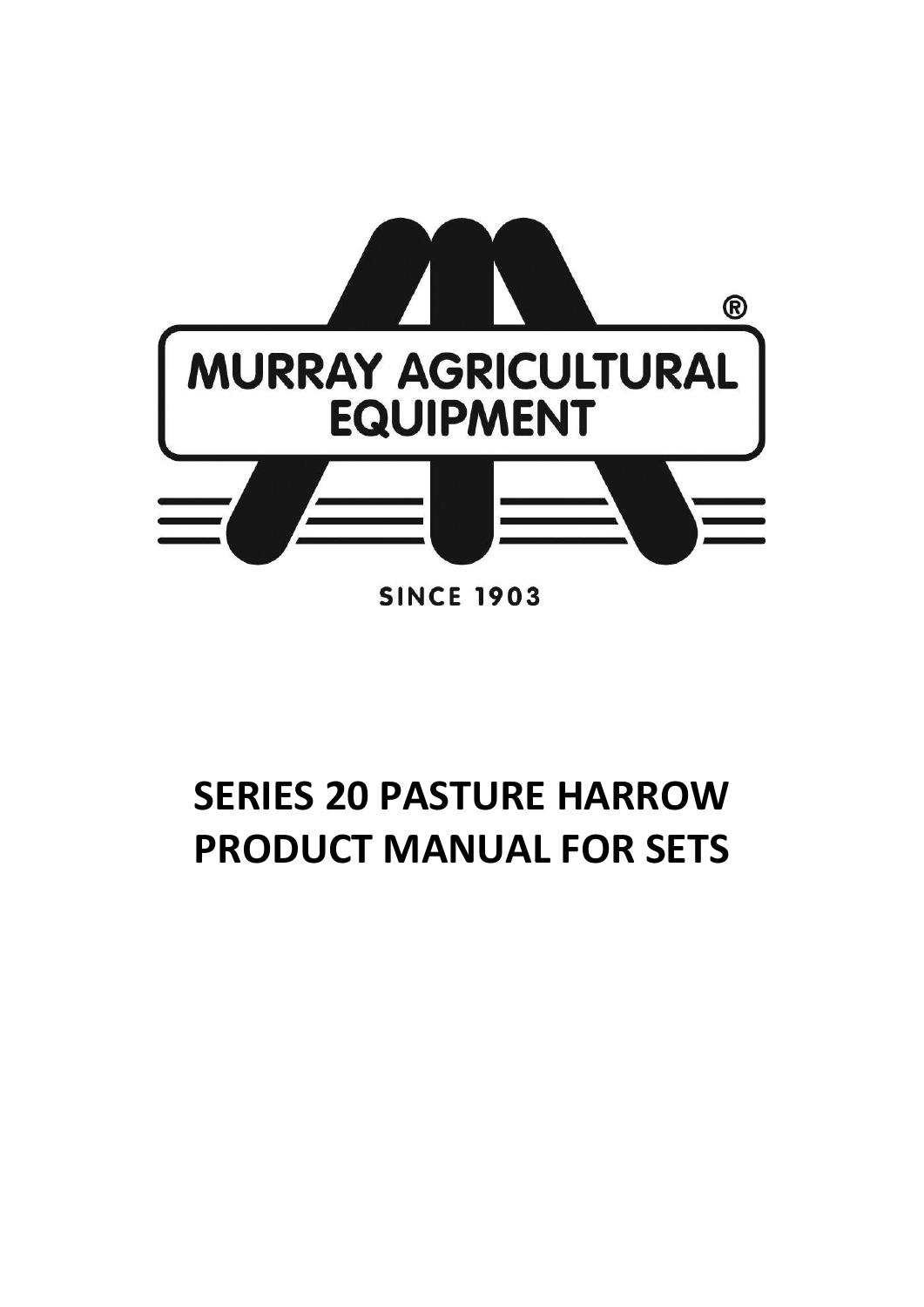

# **SERIES 20 PASTURE HARROW PRODUCT MANUAL FOR SETS**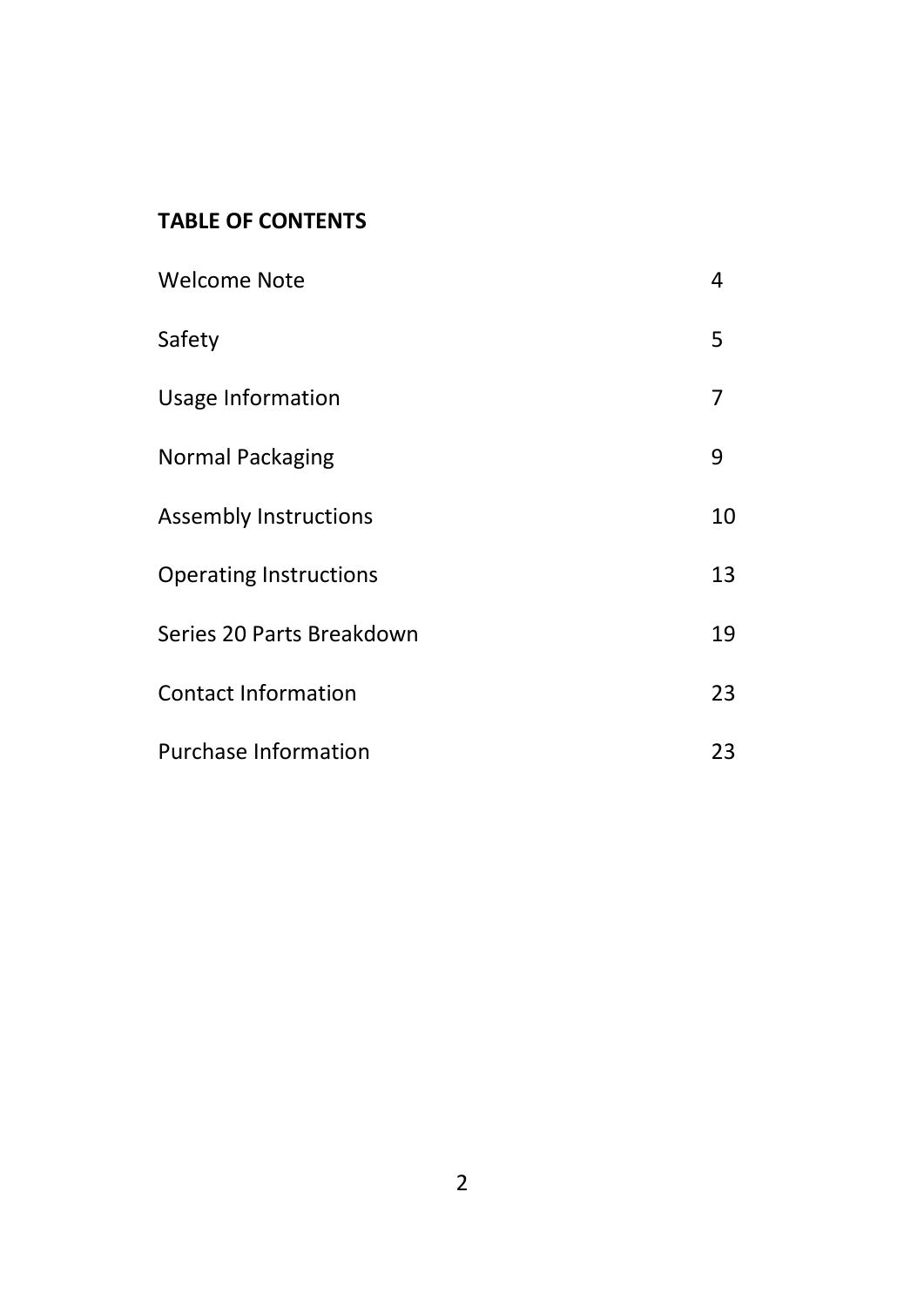# **TABLE OF CONTENTS**

| Welcome Note                  | 4  |
|-------------------------------|----|
| Safety                        | 5  |
| Usage Information             | 7  |
| Normal Packaging              | 9  |
| Assembly Instructions         | 10 |
| <b>Operating Instructions</b> | 13 |
| Series 20 Parts Breakdown     | 19 |
| <b>Contact Information</b>    | 23 |
| Purchase Information          | 23 |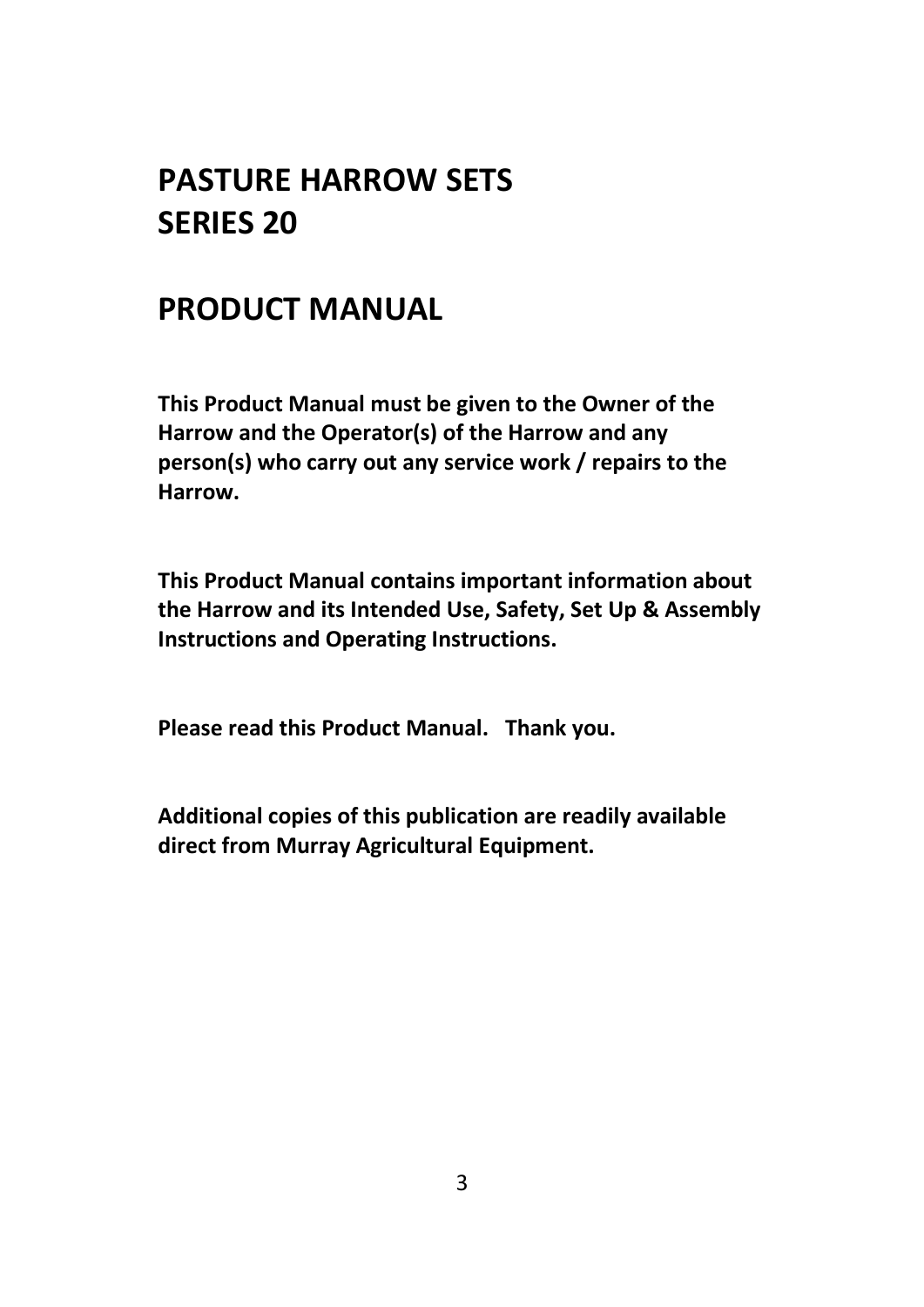# **PASTURE HARROW SETS SERIES 20**

# **PRODUCT MANUAL**

**This Product Manual must be given to the Owner of the Harrow and the Operator(s) of the Harrow and any person(s) who carry out any service work / repairs to the Harrow.** 

**This Product Manual contains important information about the Harrow and its Intended Use, Safety, Set Up & Assembly Instructions and Operating Instructions.**

**Please read this Product Manual. Thank you.**

**Additional copies of this publication are readily available direct from Murray Agricultural Equipment.**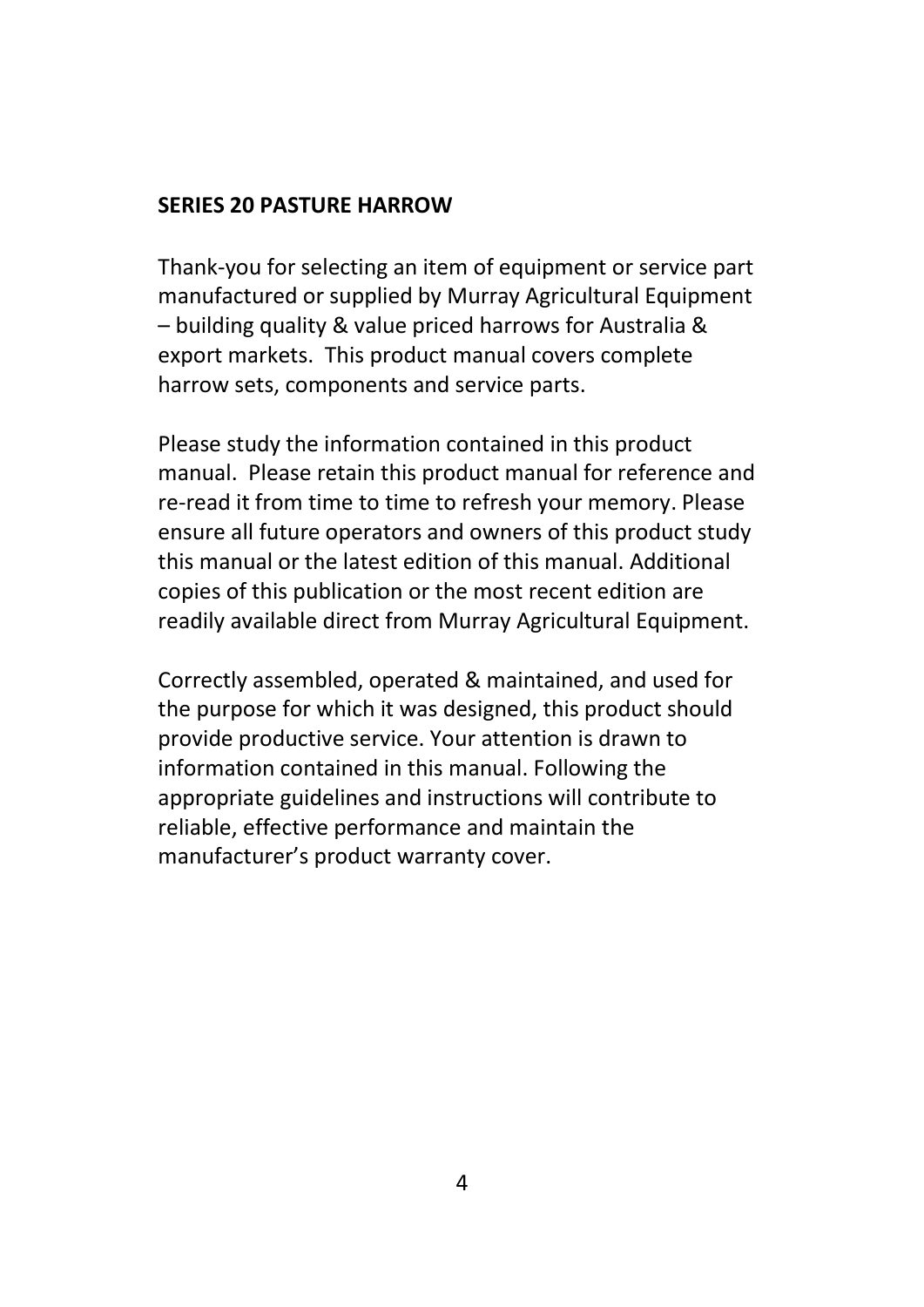#### **SERIES 20 PASTURE HARROW**

Thank-you for selecting an item of equipment or service part manufactured or supplied by Murray Agricultural Equipment – building quality & value priced harrows for Australia & export markets. This product manual covers complete harrow sets, components and service parts.

Please study the information contained in this product manual. Please retain this product manual for reference and re-read it from time to time to refresh your memory. Please ensure all future operators and owners of this product study this manual or the latest edition of this manual. Additional copies of this publication or the most recent edition are readily available direct from Murray Agricultural Equipment.

Correctly assembled, operated & maintained, and used for the purpose for which it was designed, this product should provide productive service. Your attention is drawn to information contained in this manual. Following the appropriate guidelines and instructions will contribute to reliable, effective performance and maintain the manufacturer's product warranty cover.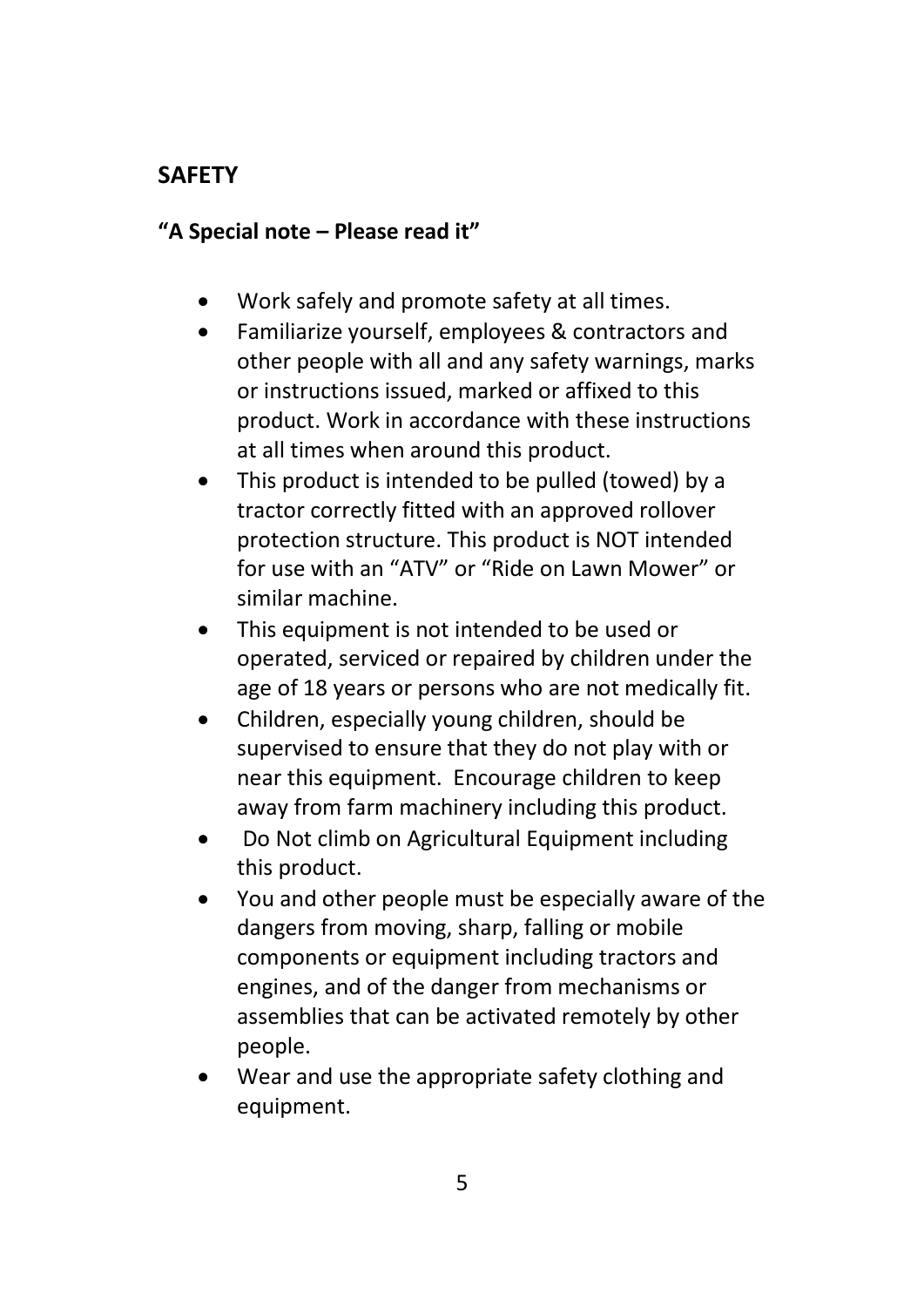# **SAFETY**

#### **"A Special note – Please read it"**

- Work safely and promote safety at all times.
- Familiarize yourself, employees & contractors and other people with all and any safety warnings, marks or instructions issued, marked or affixed to this product. Work in accordance with these instructions at all times when around this product.
- This product is intended to be pulled (towed) by a tractor correctly fitted with an approved rollover protection structure. This product is NOT intended for use with an "ATV" or "Ride on Lawn Mower" or similar machine.
- This equipment is not intended to be used or operated, serviced or repaired by children under the age of 18 years or persons who are not medically fit.
- Children, especially young children, should be supervised to ensure that they do not play with or near this equipment. Encourage children to keep away from farm machinery including this product.
- Do Not climb on Agricultural Equipment including this product.
- You and other people must be especially aware of the dangers from moving, sharp, falling or mobile components or equipment including tractors and engines, and of the danger from mechanisms or assemblies that can be activated remotely by other people.
- Wear and use the appropriate safety clothing and equipment.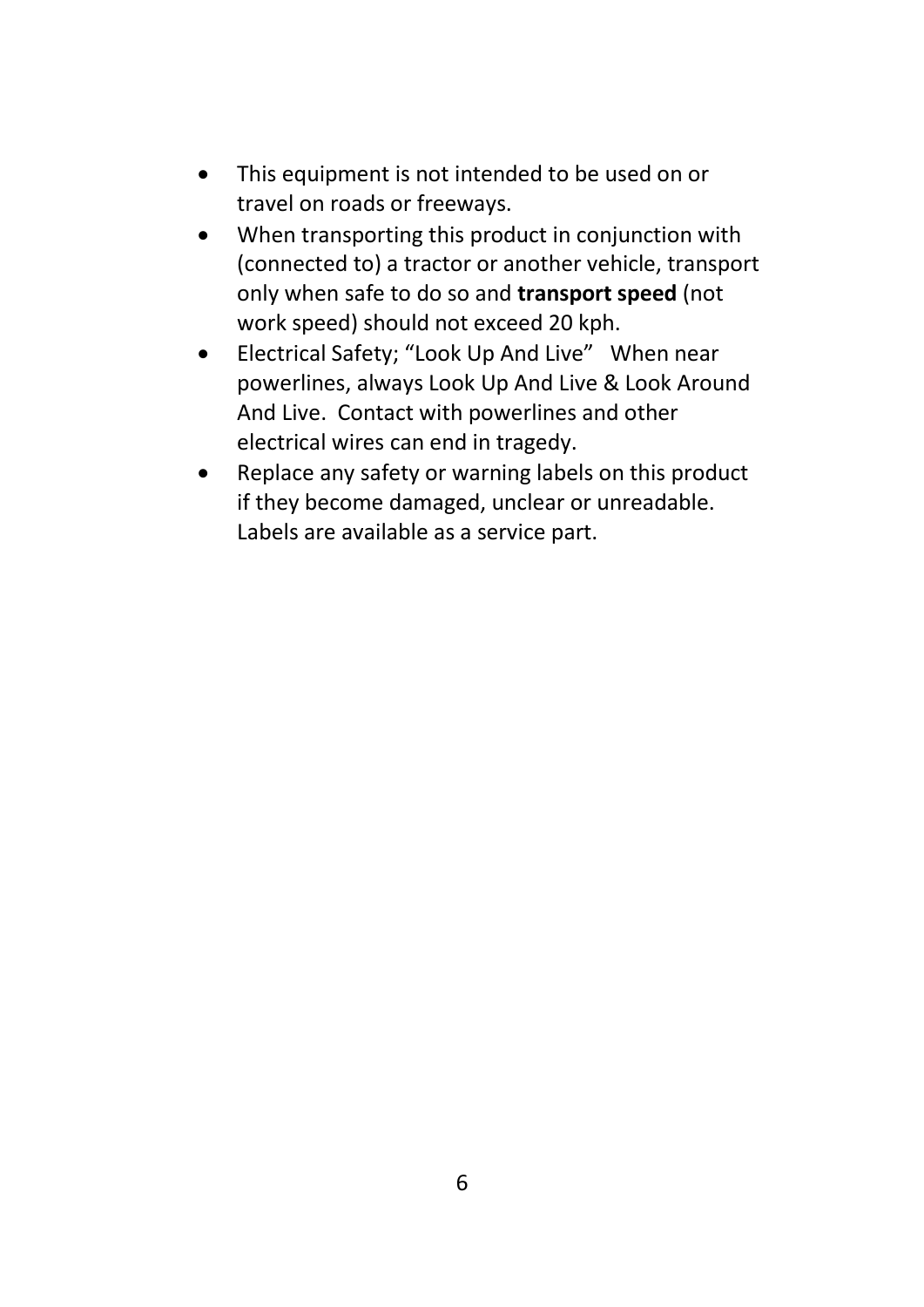- This equipment is not intended to be used on or travel on roads or freeways.
- When transporting this product in conjunction with (connected to) a tractor or another vehicle, transport only when safe to do so and **transport speed** (not work speed) should not exceed 20 kph.
- Electrical Safety; "Look Up And Live" When near powerlines, always Look Up And Live & Look Around And Live. Contact with powerlines and other electrical wires can end in tragedy.
- Replace any safety or warning labels on this product if they become damaged, unclear or unreadable. Labels are available as a service part.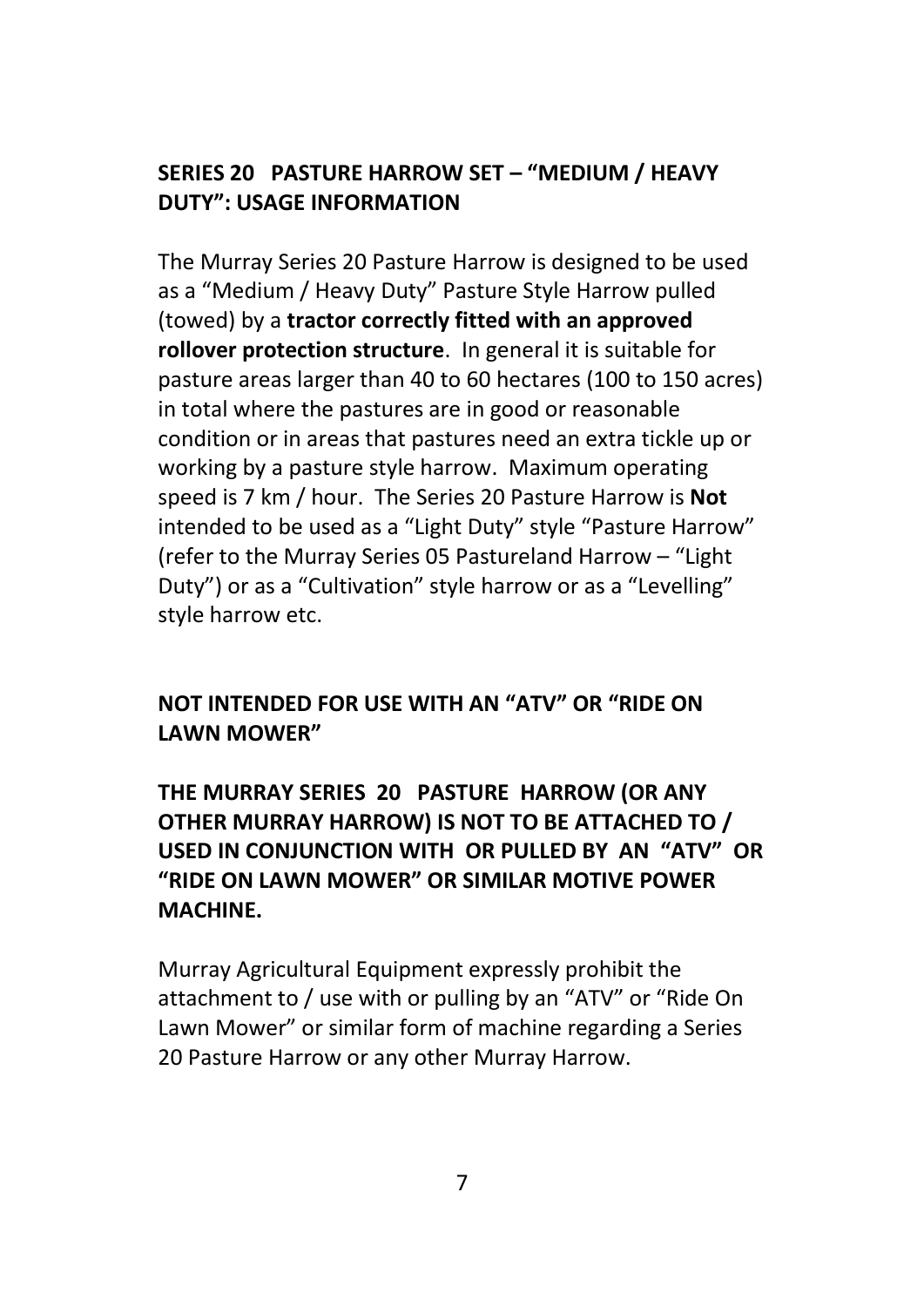# **SERIES 20 PASTURE HARROW SET – "MEDIUM / HEAVY DUTY": USAGE INFORMATION**

The Murray Series 20 Pasture Harrow is designed to be used as a "Medium / Heavy Duty" Pasture Style Harrow pulled (towed) by a **tractor correctly fitted with an approved rollover protection structure**. In general it is suitable for pasture areas larger than 40 to 60 hectares (100 to 150 acres) in total where the pastures are in good or reasonable condition or in areas that pastures need an extra tickle up or working by a pasture style harrow. Maximum operating speed is 7 km / hour. The Series 20 Pasture Harrow is **Not** intended to be used as a "Light Duty" style "Pasture Harrow" (refer to the Murray Series 05 Pastureland Harrow – "Light Duty") or as a "Cultivation" style harrow or as a "Levelling" style harrow etc.

# **NOT INTENDED FOR USE WITH AN "ATV" OR "RIDE ON LAWN MOWER"**

# **THE MURRAY SERIES 20 PASTURE HARROW (OR ANY OTHER MURRAY HARROW) IS NOT TO BE ATTACHED TO / USED IN CONJUNCTION WITH OR PULLED BY AN "ATV" OR "RIDE ON LAWN MOWER" OR SIMILAR MOTIVE POWER MACHINE.**

Murray Agricultural Equipment expressly prohibit the attachment to / use with or pulling by an "ATV" or "Ride On Lawn Mower" or similar form of machine regarding a Series 20 Pasture Harrow or any other Murray Harrow.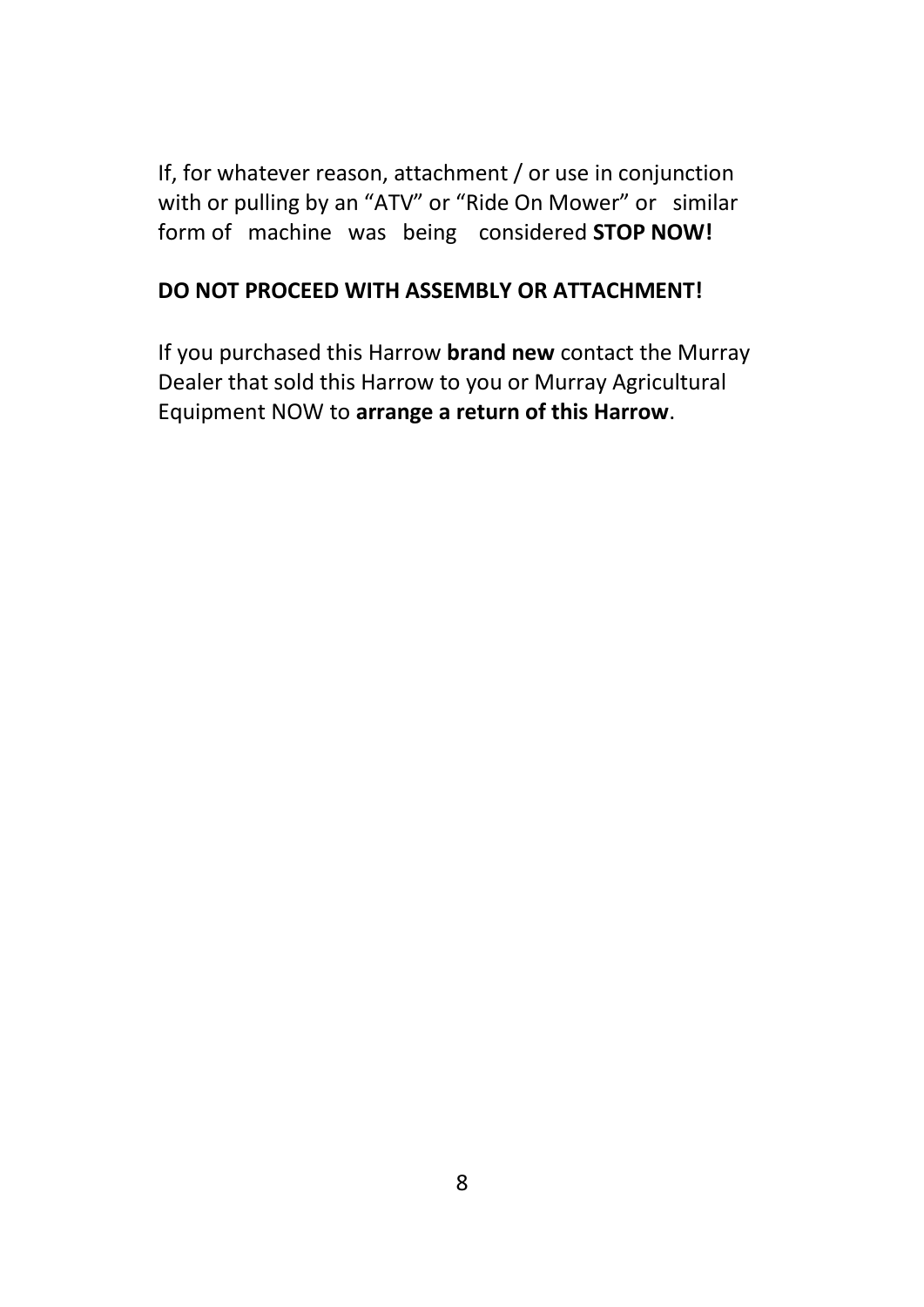If, for whatever reason, attachment / or use in conjunction with or pulling by an "ATV" or "Ride On Mower" or similar form of machine was being considered **STOP NOW!** 

#### **DO NOT PROCEED WITH ASSEMBLY OR ATTACHMENT!**

If you purchased this Harrow **brand new** contact the Murray Dealer that sold this Harrow to you or Murray Agricultural Equipment NOW to **arrange a return of this Harrow**.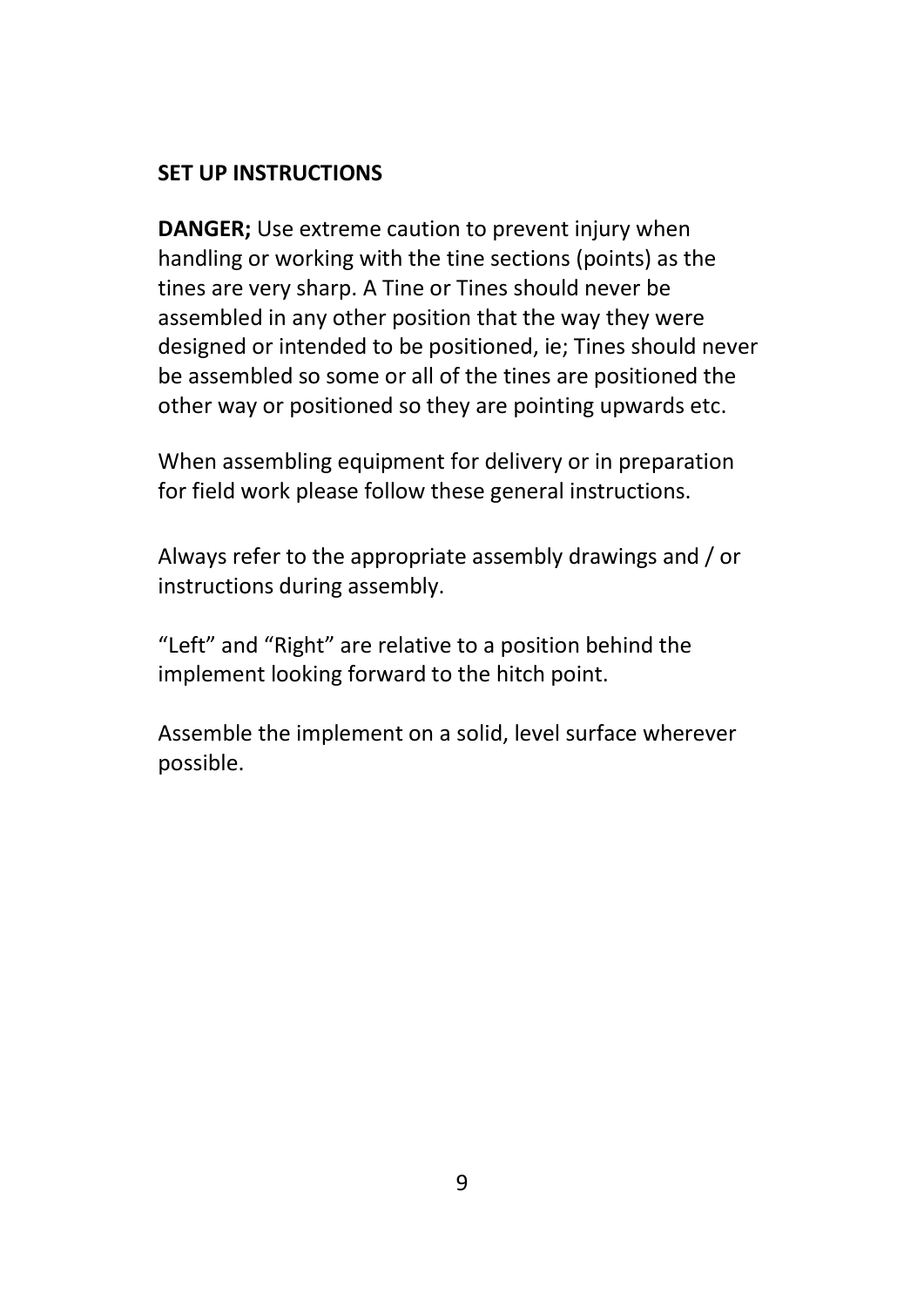### **SET UP INSTRUCTIONS**

**DANGER;** Use extreme caution to prevent injury when handling or working with the tine sections (points) as the tines are very sharp. A Tine or Tines should never be assembled in any other position that the way they were designed or intended to be positioned, ie; Tines should never be assembled so some or all of the tines are positioned the other way or positioned so they are pointing upwards etc.

When assembling equipment for delivery or in preparation for field work please follow these general instructions.

Always refer to the appropriate assembly drawings and / or instructions during assembly.

"Left" and "Right" are relative to a position behind the implement looking forward to the hitch point.

Assemble the implement on a solid, level surface wherever possible.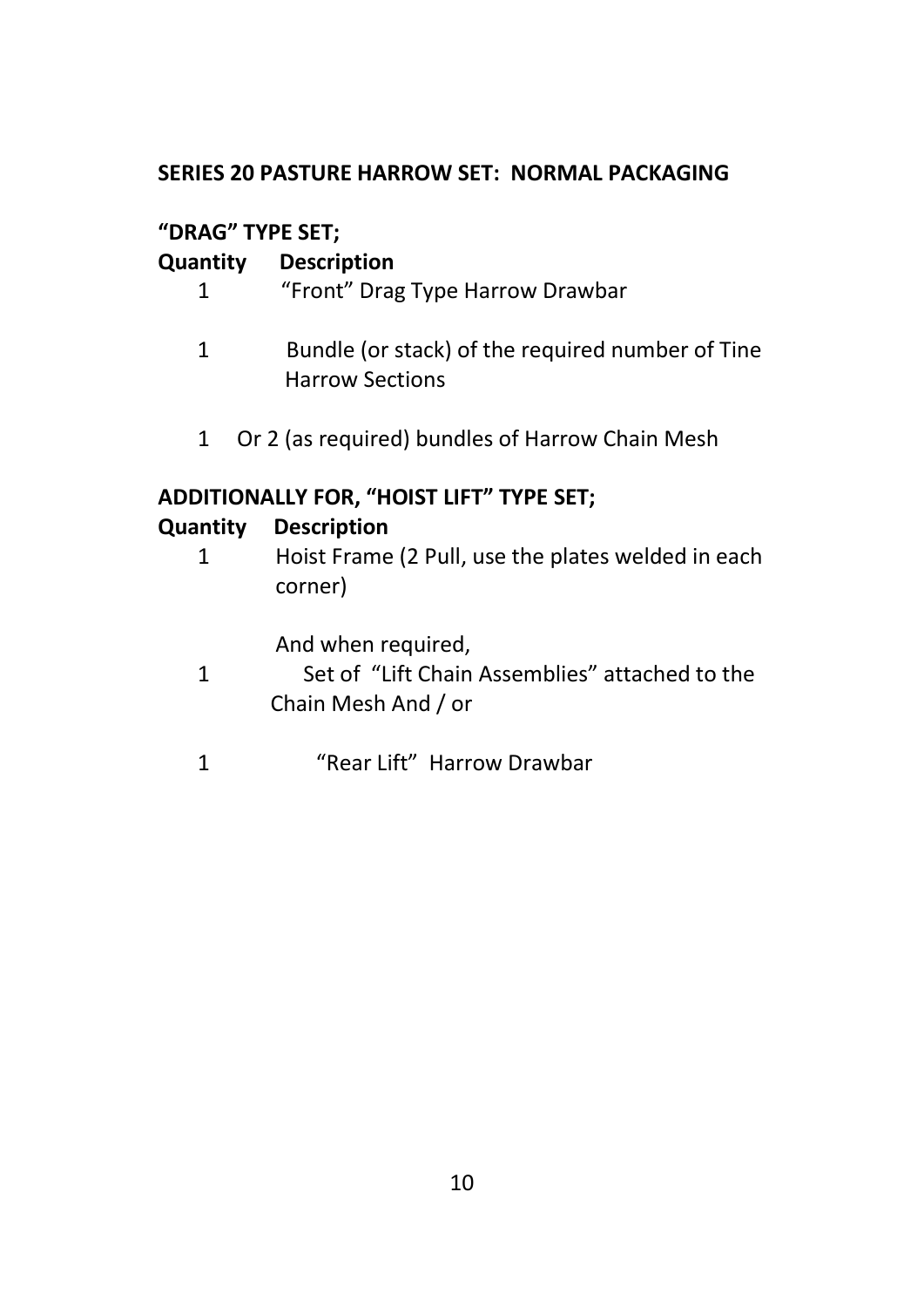### **SERIES 20 PASTURE HARROW SET: NORMAL PACKAGING**

# **"DRAG" TYPE SET;**

# **Quantity Description**

- 1"Front" Drag Type Harrow Drawbar
- 1 Bundle (or stack) of the required number of Tine Harrow Sections
- 1 Or 2 (as required) bundles of Harrow Chain Mesh

# **ADDITIONALLY FOR, "HOIST LIFT" TYPE SET;**

# **Quantity Description**

1Hoist Frame (2 Pull, use the plates welded in each corner)

And when required,

- 1 Set of "Lift Chain Assemblies" attached to the Chain Mesh And / or
- 1 "Rear Lift" Harrow Drawbar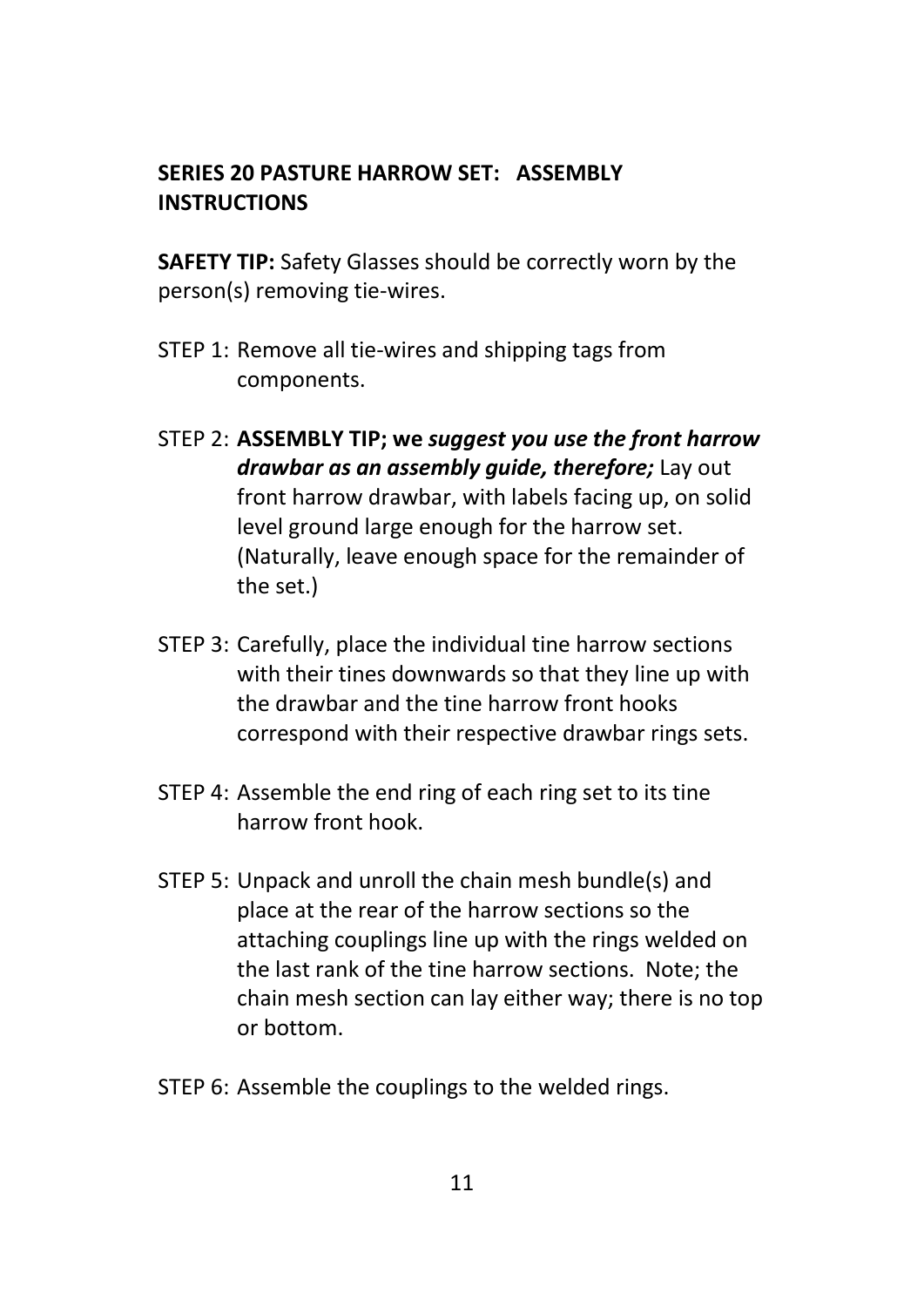### **SERIES 20 PASTURE HARROW SET: ASSEMBLY INSTRUCTIONS**

**SAFETY TIP:** Safety Glasses should be correctly worn by the person(s) removing tie-wires.

- STEP 1: Remove all tie-wires and shipping tags from components.
- STEP 2: **ASSEMBLY TIP; we** *suggest you use the front harrow drawbar as an assembly guide, therefore;* Lay out front harrow drawbar, with labels facing up, on solid level ground large enough for the harrow set. (Naturally, leave enough space for the remainder of the set.)
- STEP 3: Carefully, place the individual tine harrow sections with their tines downwards so that they line up with the drawbar and the tine harrow front hooks correspond with their respective drawbar rings sets.
- STEP 4: Assemble the end ring of each ring set to its tine harrow front hook.
- STEP 5: Unpack and unroll the chain mesh bundle(s) and place at the rear of the harrow sections so the attaching couplings line up with the rings welded on the last rank of the tine harrow sections. Note; the chain mesh section can lay either way; there is no top or bottom.
- STEP 6: Assemble the couplings to the welded rings.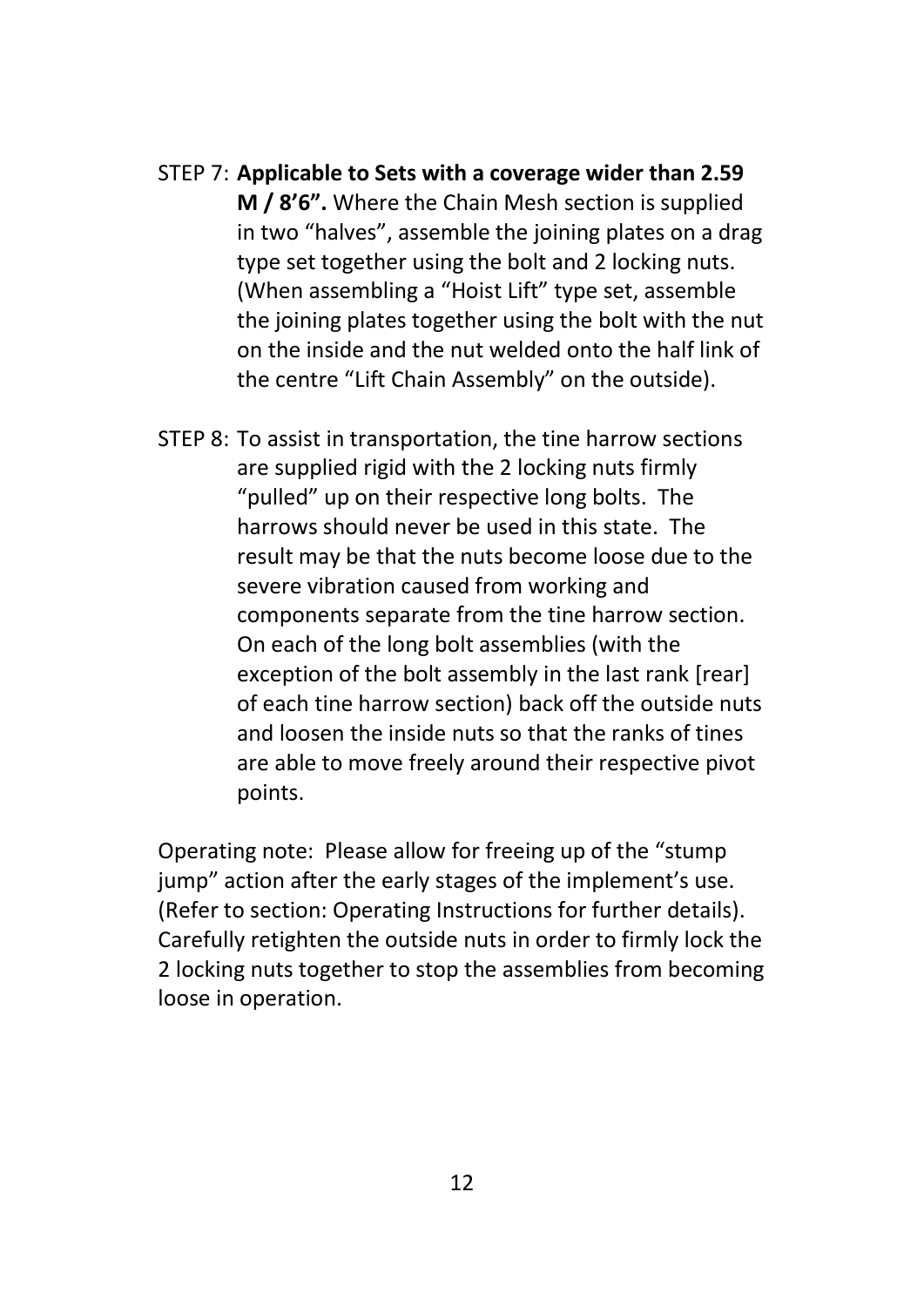- STEP 7: **Applicable to Sets with a coverage wider than 2.59 M / 8'6".** Where the Chain Mesh section is supplied in two "halves", assemble the joining plates on a drag type set together using the bolt and 2 locking nuts. (When assembling a "Hoist Lift" type set, assemble the joining plates together using the bolt with the nut on the inside and the nut welded onto the half link of the centre "Lift Chain Assembly" on the outside).
- STEP 8: To assist in transportation, the tine harrow sections are supplied rigid with the 2 locking nuts firmly "pulled" up on their respective long bolts. The harrows should never be used in this state. The result may be that the nuts become loose due to the severe vibration caused from working and components separate from the tine harrow section. On each of the long bolt assemblies (with the exception of the bolt assembly in the last rank [rear] of each tine harrow section) back off the outside nuts and loosen the inside nuts so that the ranks of tines are able to move freely around their respective pivot points.

Operating note: Please allow for freeing up of the "stump jump" action after the early stages of the implement's use. (Refer to section: Operating Instructions for further details). Carefully retighten the outside nuts in order to firmly lock the 2 locking nuts together to stop the assemblies from becoming loose in operation.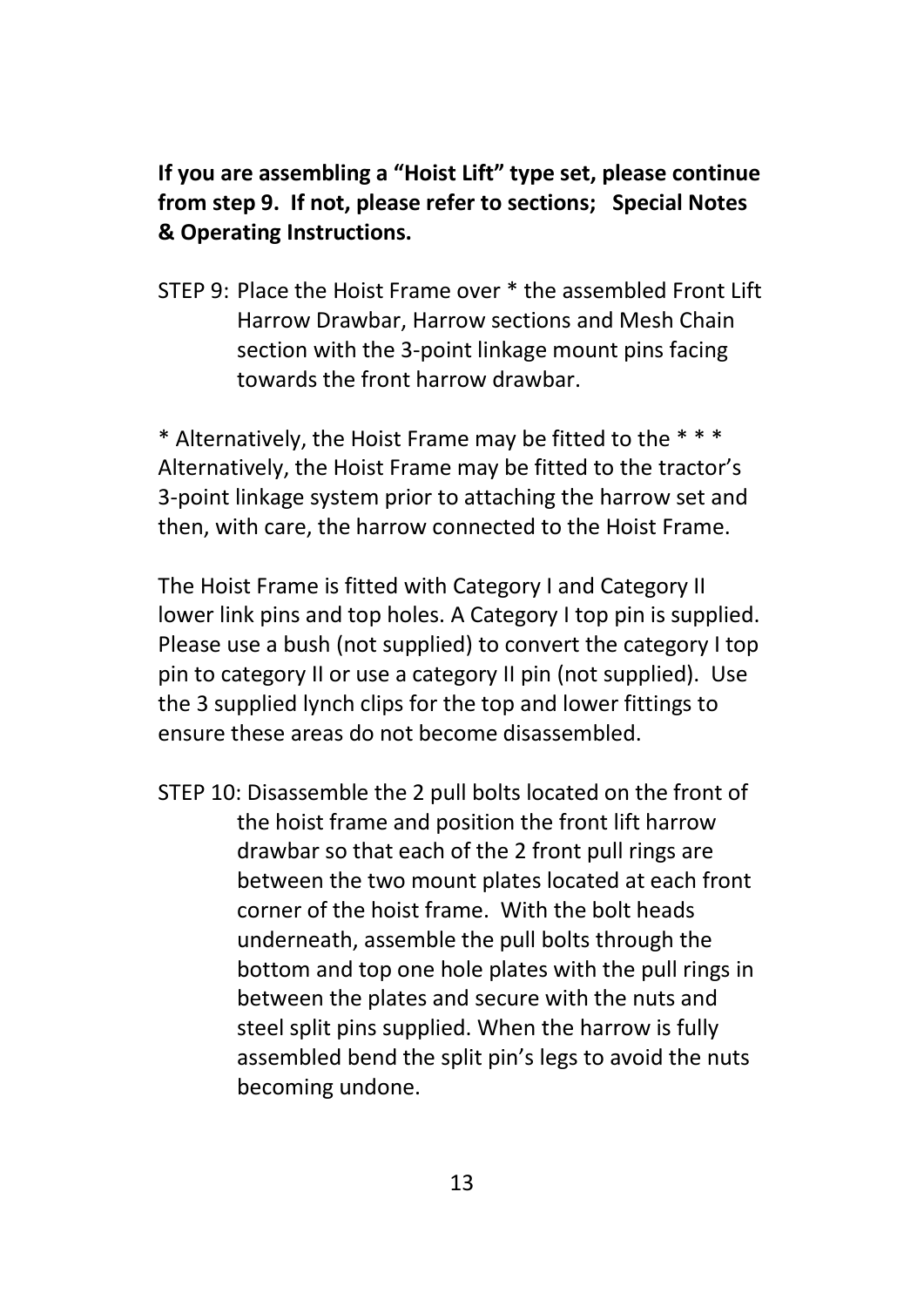**If you are assembling a "Hoist Lift" type set, please continue from step 9. If not, please refer to sections; Special Notes & Operating Instructions.**

STEP 9: Place the Hoist Frame over \* the assembled Front Lift Harrow Drawbar, Harrow sections and Mesh Chain section with the 3-point linkage mount pins facing towards the front harrow drawbar.

\* Alternatively, the Hoist Frame may be fitted to the \* \* \* Alternatively, the Hoist Frame may be fitted to the tractor's 3-point linkage system prior to attaching the harrow set and then, with care, the harrow connected to the Hoist Frame.

The Hoist Frame is fitted with Category I and Category II lower link pins and top holes. A Category I top pin is supplied. Please use a bush (not supplied) to convert the category I top pin to category II or use a category II pin (not supplied). Use the 3 supplied lynch clips for the top and lower fittings to ensure these areas do not become disassembled.

STEP 10: Disassemble the 2 pull bolts located on the front of the hoist frame and position the front lift harrow drawbar so that each of the 2 front pull rings are between the two mount plates located at each front corner of the hoist frame. With the bolt heads underneath, assemble the pull bolts through the bottom and top one hole plates with the pull rings in between the plates and secure with the nuts and steel split pins supplied. When the harrow is fully assembled bend the split pin's legs to avoid the nuts becoming undone.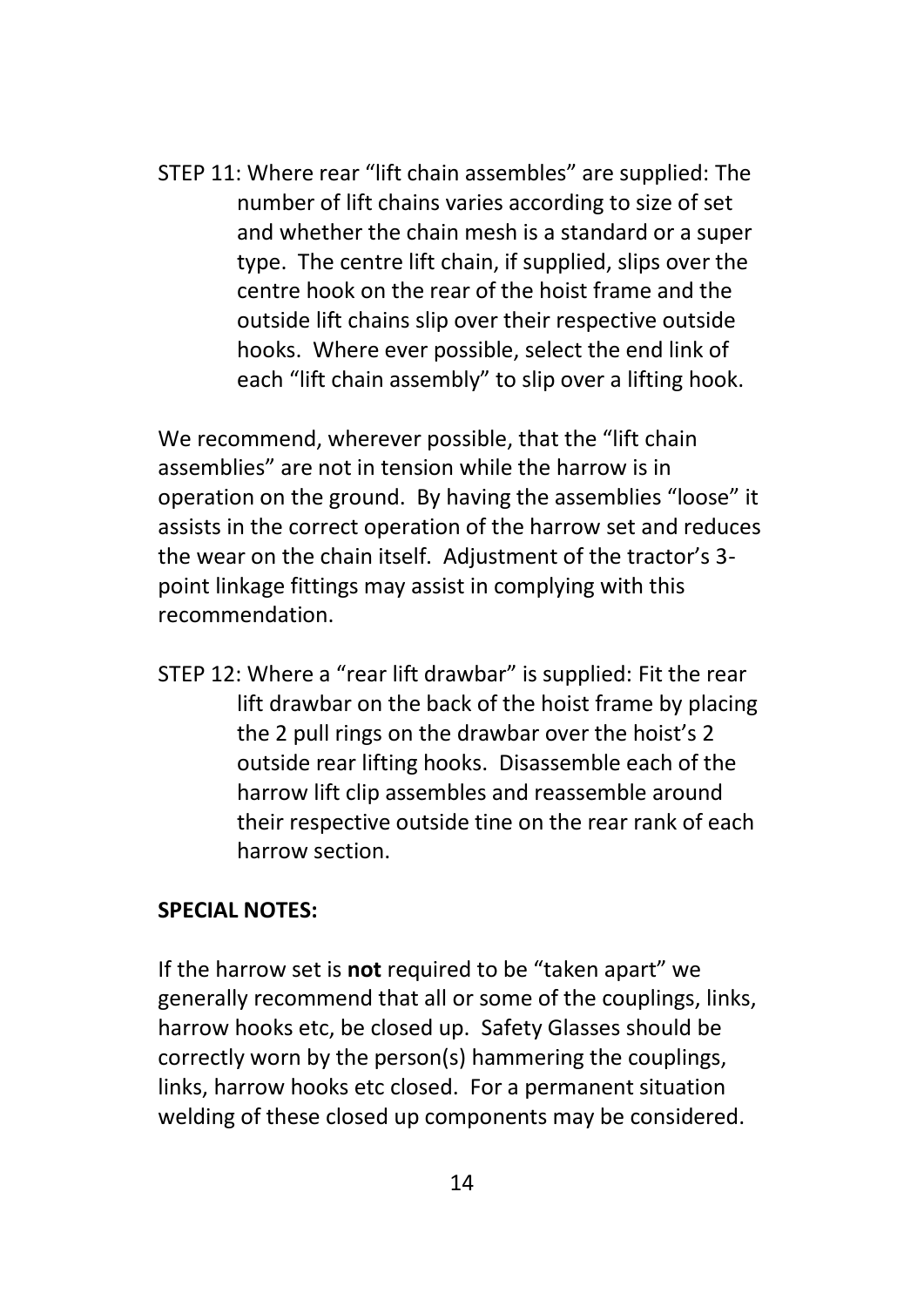STEP 11: Where rear "lift chain assembles" are supplied: The number of lift chains varies according to size of set and whether the chain mesh is a standard or a super type. The centre lift chain, if supplied, slips over the centre hook on the rear of the hoist frame and the outside lift chains slip over their respective outside hooks. Where ever possible, select the end link of each "lift chain assembly" to slip over a lifting hook.

We recommend, wherever possible, that the "lift chain" assemblies" are not in tension while the harrow is in operation on the ground. By having the assemblies "loose" it assists in the correct operation of the harrow set and reduces the wear on the chain itself. Adjustment of the tractor's 3 point linkage fittings may assist in complying with this recommendation.

STEP 12: Where a "rear lift drawbar" is supplied: Fit the rear lift drawbar on the back of the hoist frame by placing the 2 pull rings on the drawbar over the hoist's 2 outside rear lifting hooks. Disassemble each of the harrow lift clip assembles and reassemble around their respective outside tine on the rear rank of each harrow section.

#### **SPECIAL NOTES:**

If the harrow set is **not** required to be "taken apart" we generally recommend that all or some of the couplings, links, harrow hooks etc, be closed up. Safety Glasses should be correctly worn by the person(s) hammering the couplings, links, harrow hooks etc closed. For a permanent situation welding of these closed up components may be considered.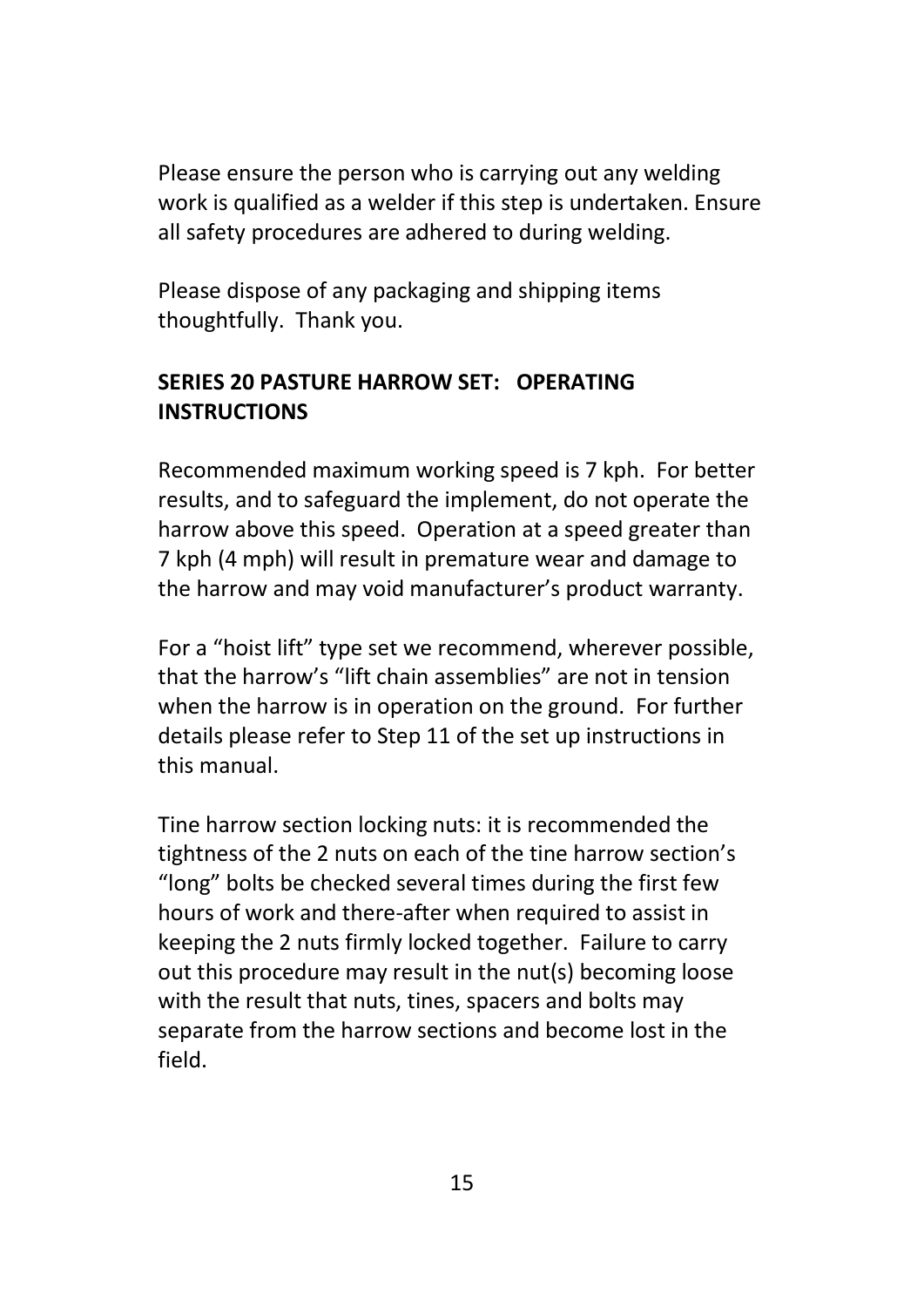Please ensure the person who is carrying out any welding work is qualified as a welder if this step is undertaken. Ensure all safety procedures are adhered to during welding.

Please dispose of any packaging and shipping items thoughtfully. Thank you.

# **SERIES 20 PASTURE HARROW SET: OPERATING INSTRUCTIONS**

Recommended maximum working speed is 7 kph. For better results, and to safeguard the implement, do not operate the harrow above this speed. Operation at a speed greater than 7 kph (4 mph) will result in premature wear and damage to the harrow and may void manufacturer's product warranty.

For a "hoist lift" type set we recommend, wherever possible, that the harrow's "lift chain assemblies" are not in tension when the harrow is in operation on the ground. For further details please refer to Step 11 of the set up instructions in this manual.

Tine harrow section locking nuts: it is recommended the tightness of the 2 nuts on each of the tine harrow section's "long" bolts be checked several times during the first few hours of work and there-after when required to assist in keeping the 2 nuts firmly locked together. Failure to carry out this procedure may result in the nut(s) becoming loose with the result that nuts, tines, spacers and bolts may separate from the harrow sections and become lost in the field.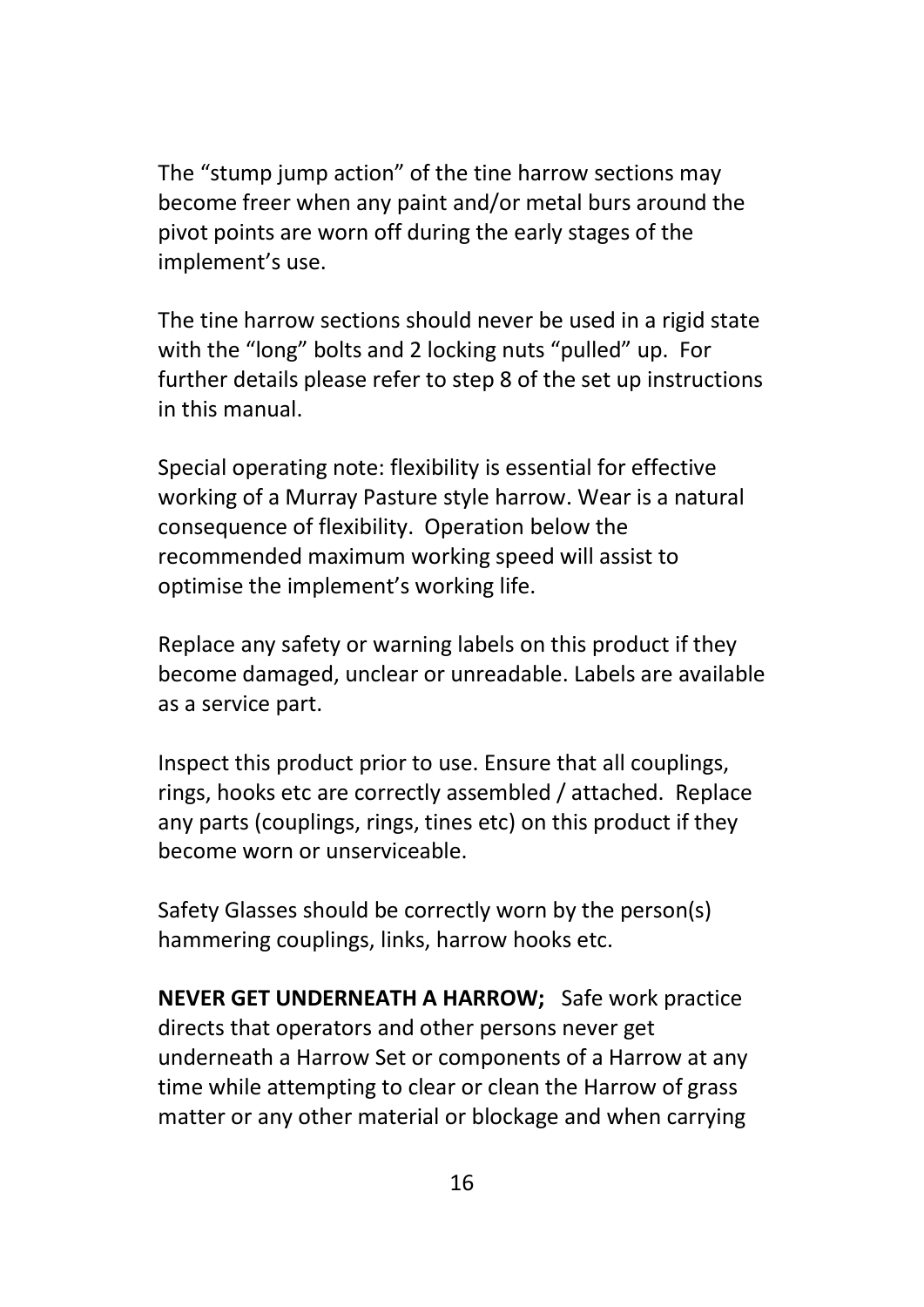The "stump jump action" of the tine harrow sections may become freer when any paint and/or metal burs around the pivot points are worn off during the early stages of the implement's use.

The tine harrow sections should never be used in a rigid state with the "long" bolts and 2 locking nuts "pulled" up. For further details please refer to step 8 of the set up instructions in this manual.

Special operating note: flexibility is essential for effective working of a Murray Pasture style harrow. Wear is a natural consequence of flexibility. Operation below the recommended maximum working speed will assist to optimise the implement's working life.

Replace any safety or warning labels on this product if they become damaged, unclear or unreadable. Labels are available as a service part.

Inspect this product prior to use. Ensure that all couplings, rings, hooks etc are correctly assembled / attached. Replace any parts (couplings, rings, tines etc) on this product if they become worn or unserviceable.

Safety Glasses should be correctly worn by the person(s) hammering couplings, links, harrow hooks etc.

**NEVER GET UNDERNEATH A HARROW;** Safe work practice directs that operators and other persons never get underneath a Harrow Set or components of a Harrow at any time while attempting to clear or clean the Harrow of grass matter or any other material or blockage and when carrying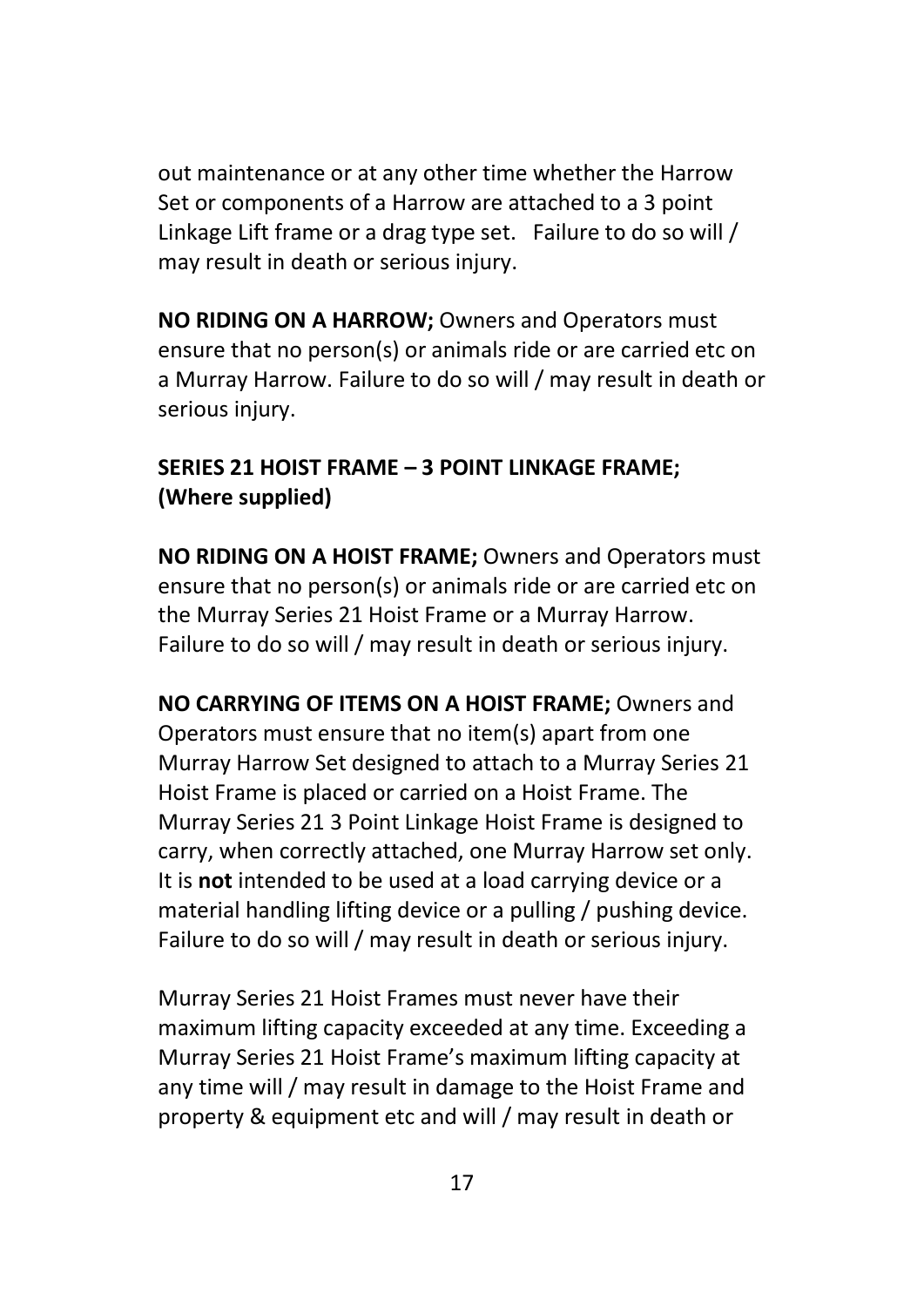out maintenance or at any other time whether the Harrow Set or components of a Harrow are attached to a 3 point Linkage Lift frame or a drag type set. Failure to do so will / may result in death or serious injury.

**NO RIDING ON A HARROW;** Owners and Operators must ensure that no person(s) or animals ride or are carried etc on a Murray Harrow. Failure to do so will / may result in death or serious injury.

### **SERIES 21 HOIST FRAME – 3 POINT LINKAGE FRAME; (Where supplied)**

**NO RIDING ON A HOIST FRAME;** Owners and Operators must ensure that no person(s) or animals ride or are carried etc on the Murray Series 21 Hoist Frame or a Murray Harrow. Failure to do so will / may result in death or serious injury.

**NO CARRYING OF ITEMS ON A HOIST FRAME;** Owners and Operators must ensure that no item(s) apart from one Murray Harrow Set designed to attach to a Murray Series 21 Hoist Frame is placed or carried on a Hoist Frame. The Murray Series 21 3 Point Linkage Hoist Frame is designed to carry, when correctly attached, one Murray Harrow set only. It is **not** intended to be used at a load carrying device or a material handling lifting device or a pulling / pushing device. Failure to do so will / may result in death or serious injury.

Murray Series 21 Hoist Frames must never have their maximum lifting capacity exceeded at any time. Exceeding a Murray Series 21 Hoist Frame's maximum lifting capacity at any time will / may result in damage to the Hoist Frame and property & equipment etc and will / may result in death or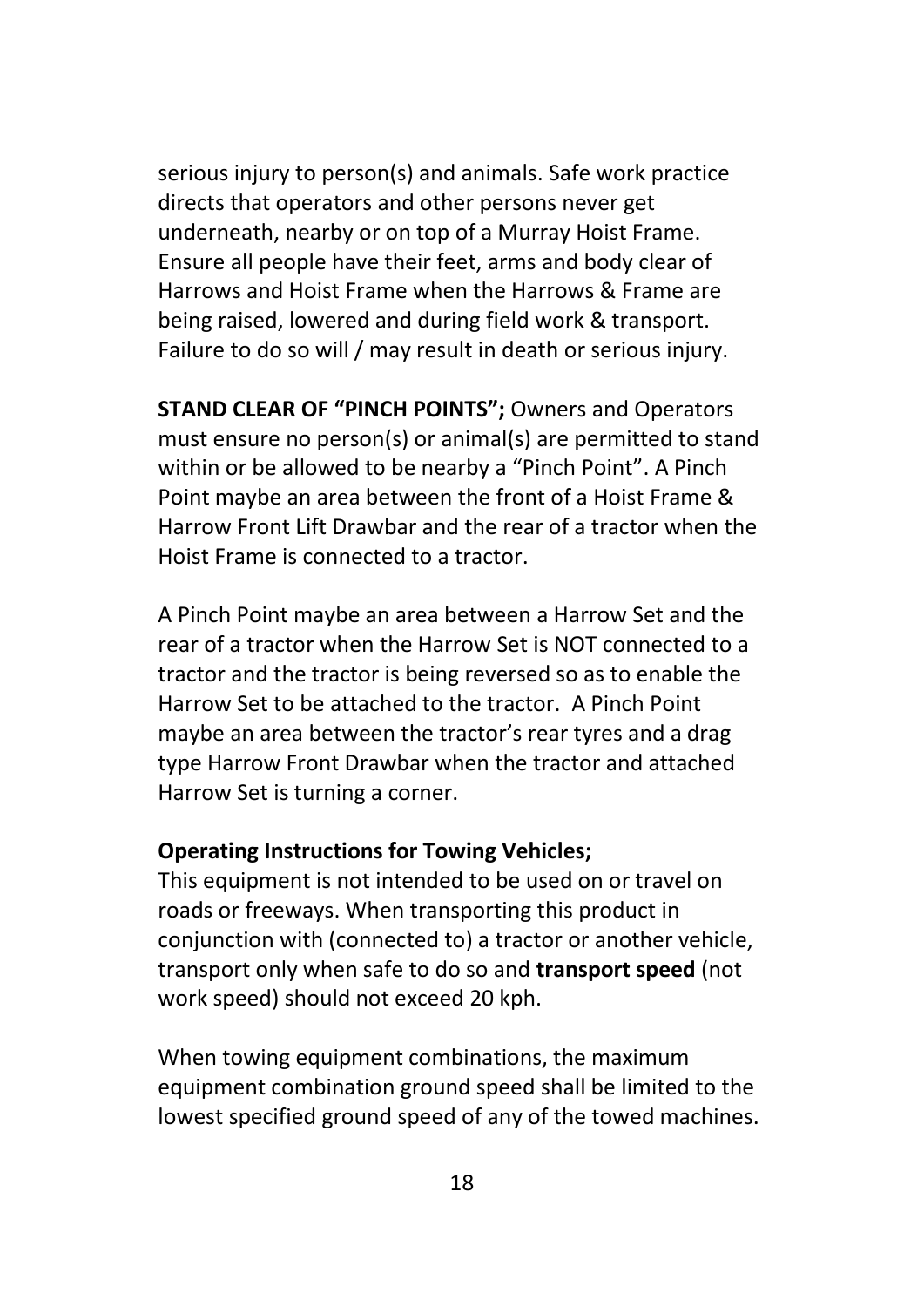serious injury to person(s) and animals. Safe work practice directs that operators and other persons never get underneath, nearby or on top of a Murray Hoist Frame. Ensure all people have their feet, arms and body clear of Harrows and Hoist Frame when the Harrows & Frame are being raised, lowered and during field work & transport. Failure to do so will / may result in death or serious injury.

**STAND CLEAR OF "PINCH POINTS";** Owners and Operators must ensure no person(s) or animal(s) are permitted to stand within or be allowed to be nearby a "Pinch Point". A Pinch Point maybe an area between the front of a Hoist Frame & Harrow Front Lift Drawbar and the rear of a tractor when the Hoist Frame is connected to a tractor.

A Pinch Point maybe an area between a Harrow Set and the rear of a tractor when the Harrow Set is NOT connected to a tractor and the tractor is being reversed so as to enable the Harrow Set to be attached to the tractor. A Pinch Point maybe an area between the tractor's rear tyres and a drag type Harrow Front Drawbar when the tractor and attached Harrow Set is turning a corner.

#### **Operating Instructions for Towing Vehicles;**

This equipment is not intended to be used on or travel on roads or freeways. When transporting this product in conjunction with (connected to) a tractor or another vehicle, transport only when safe to do so and **transport speed** (not work speed) should not exceed 20 kph.

When towing equipment combinations, the maximum equipment combination ground speed shall be limited to the lowest specified ground speed of any of the towed machines.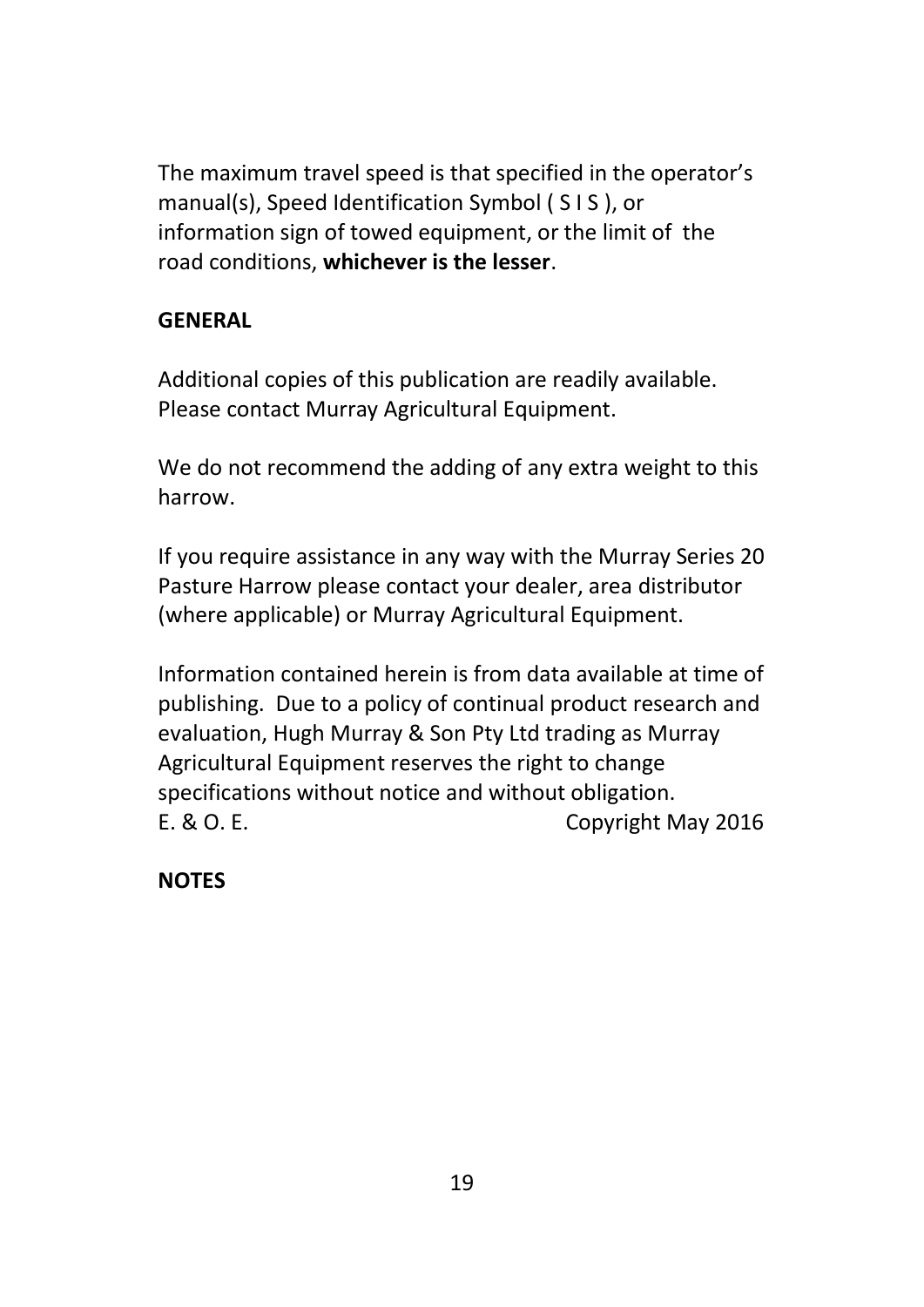The maximum travel speed is that specified in the operator's manual(s), Speed Identification Symbol ( S I S ), or information sign of towed equipment, or the limit of the road conditions, **whichever is the lesser**.

# **GENERAL**

Additional copies of this publication are readily available. Please contact Murray Agricultural Equipment.

We do not recommend the adding of any extra weight to this harrow.

If you require assistance in any way with the Murray Series 20 Pasture Harrow please contact your dealer, area distributor (where applicable) or Murray Agricultural Equipment.

Information contained herein is from data available at time of publishing. Due to a policy of continual product research and evaluation, Hugh Murray & Son Pty Ltd trading as Murray Agricultural Equipment reserves the right to change specifications without notice and without obligation. E. & O. E. Copyright May 2016

**NOTES**